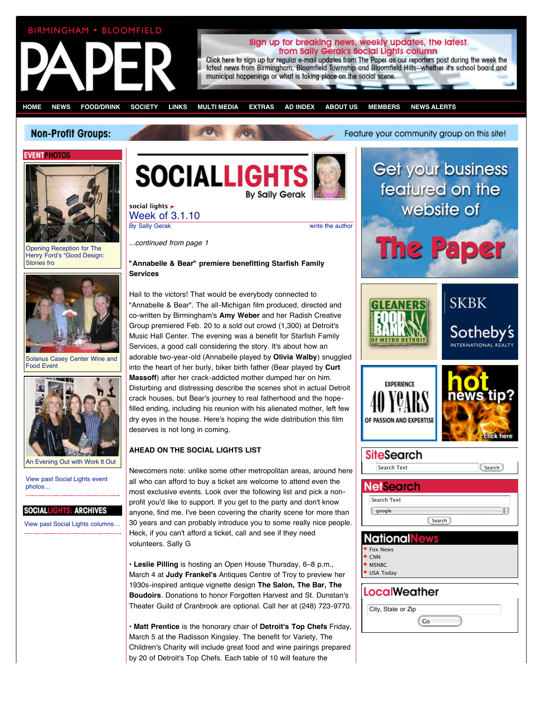